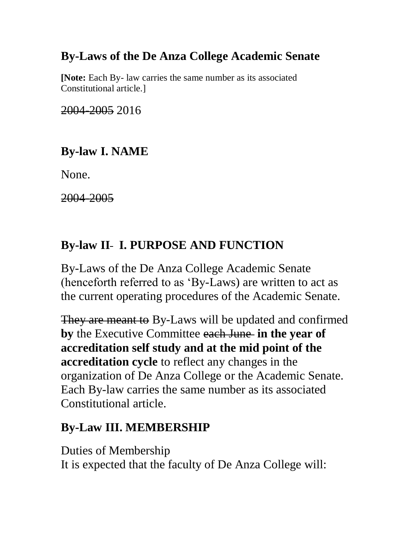# **By-Laws of the De Anza College Academic Senate**

**[Note:** Each By- law carries the same number as its associated Constitutional article.]

2004-2005 2016

# **By-law I. NAME**

None.

2004-2005

# **By-law II- I. PURPOSE AND FUNCTION**

By-Laws of the De Anza College Academic Senate (henceforth referred to as 'By-Laws) are written to act as the current operating procedures of the Academic Senate.

They are meant to By-Laws will be updated and confirmed **by** the Executive Committee each June **in the year of accreditation self study and at the mid point of the accreditation cycle** to reflect any changes in the organization of De Anza College or the Academic Senate. Each By-law carries the same number as its associated Constitutional article.

# **By-Law III. MEMBERSHIP**

Duties of Membership It is expected that the faculty of De Anza College will: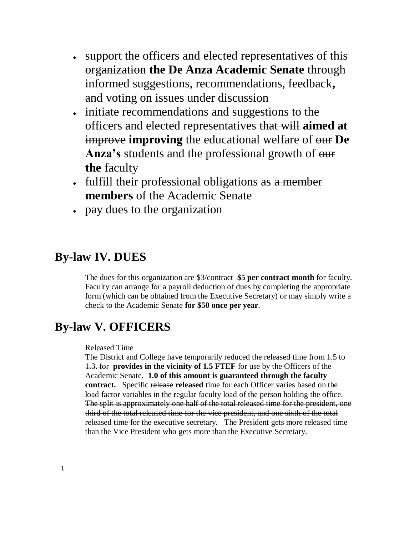- support the officers and elected representatives of this organization **the De Anza Academic Senate** through informed suggestions, recommendations, feedback**,** and voting on issues under discussion
- initiate recommendations and suggestions to the officers and elected representatives that will **aimed at** improve **improving** the educational welfare of our **De**  Anza's students and the professional growth of  $\theta$ ur **the** faculty
- fulfill their professional obligations as a member **members** of the Academic Senate
- pay dues to the organization

## **By-law IV. DUES**

The dues for this organization are \$3/contract \$5 per contract month for faculty. Faculty can arrange for a payroll deduction of dues by completing the appropriate form (which can be obtained from the Executive Secretary) or may simply write a check to the Academic Senate **for \$50 once per year**.

## **By-law V. OFFICERS**

### Released Time

The District and College have temporarily reduced the released time from 1.5 to 1.3. for **provides in the vicinity of 1.5 FTEF** for use by the Officers of the Academic Senate. **1.0 of this amount is guaranteed through the faculty contract.** Specific release **released** time for each Officer varies based on the load factor variables in the regular faculty load of the person holding the office. The split is approximately one half of the total released time for the president, one third of the total released time for the vice president, and one sixth of the total released time for the executive secretary. The President gets more released time than the Vice President who gets more than the Executive Secretary.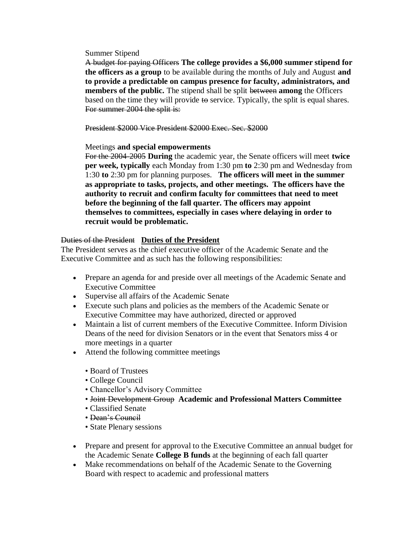Summer Stipend

A budget for paying Officers **The college provides a \$6,000 summer stipend for the officers as a group** to be available during the months of July and August **and to provide a predictable on campus presence for faculty, administrators, and members of the public.** The stipend shall be split between **among** the Officers based on the time they will provide to service. Typically, the split is equal shares. For summer 2004 the split is:

President \$2000 Vice President \$2000 Exec. Sec. \$2000

## Meetings **and special empowerments**

For the 2004-2005 **During** the academic year, the Senate officers will meet **twice per week, typically** each Monday from 1:30 pm **to** 2:30 pm and Wednesday from 1:30 **to** 2:30 pm for planning purposes. **The officers will meet in the summer as appropriate to tasks, projects, and other meetings. The officers have the authority to recruit and confirm faculty for committees that need to meet before the beginning of the fall quarter. The officers may appoint themselves to committees, especially in cases where delaying in order to recruit would be problematic.**

## Duties of the President **Duties of the President**

The President serves as the chief executive officer of the Academic Senate and the Executive Committee and as such has the following responsibilities:

- Prepare an agenda for and preside over all meetings of the Academic Senate and Executive Committee
- Supervise all affairs of the Academic Senate
- Execute such plans and policies as the members of the Academic Senate or Executive Committee may have authorized, directed or approved
- Maintain a list of current members of the Executive Committee. Inform Division Deans of the need for division Senators or in the event that Senators miss 4 or more meetings in a quarter
- Attend the following committee meetings
	- Board of Trustees
	- College Council
	- Chancellor's Advisory Committee
	- Joint Development Group **Academic and Professional Matters Committee**
	- Classified Senate
	- Dean's Council
	- State Plenary sessions
- Prepare and present for approval to the Executive Committee an annual budget for the Academic Senate **College B funds** at the beginning of each fall quarter
- Make recommendations on behalf of the Academic Senate to the Governing Board with respect to academic and professional matters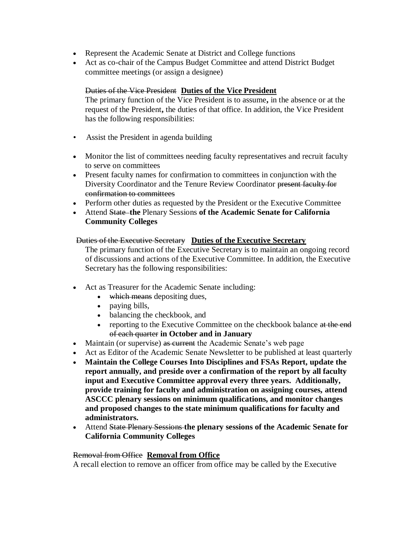- Represent the Academic Senate at District and College functions
- Act as co-chair of the Campus Budget Committee and attend District Budget committee meetings (or assign a designee)

## Duties of the Vice President **Duties of the Vice President**

The primary function of the Vice President is to assume**,** in the absence or at the request of the President**,** the duties of that office. In addition, the Vice President has the following responsibilities:

- Assist the President in agenda building
- Monitor the list of committees needing faculty representatives and recruit faculty to serve on committees
- Present faculty names for confirmation to committees in conjunction with the Diversity Coordinator and the Tenure Review Coordinator present faculty for confirmation to committees
- Perform other duties as requested by the President or the Executive Committee
- Attend State **the** Plenary Sessions **of the Academic Senate for California Community Colleges**

## Duties of the Executive Secretary **Duties of the Executive Secretary**

The primary function of the Executive Secretary is to maintain an ongoing record of discussions and actions of the Executive Committee. In addition, the Executive Secretary has the following responsibilities:

- Act as Treasurer for the Academic Senate including:
	- which means depositing dues,
	- paying bills,
	- balancing the checkbook, and
	- reporting to the Executive Committee on the checkbook balance at the end of each quarter **in October and in January**
- Maintain (or supervise) as current the Academic Senate's web page
- Act as Editor of the Academic Senate Newsletter to be published at least quarterly
- **Maintain the College Courses Into Disciplines and FSAs Report, update the report annually, and preside over a confirmation of the report by all faculty input and Executive Committee approval every three years. Additionally, provide training for faculty and administration on assigning courses, attend ASCCC plenary sessions on minimum qualifications, and monitor changes and proposed changes to the state minimum qualifications for faculty and administrators.**
- Attend State Plenary Sessions **the plenary sessions of the Academic Senate for California Community Colleges**

## Removal from Office **Removal from Office**

A recall election to remove an officer from office may be called by the Executive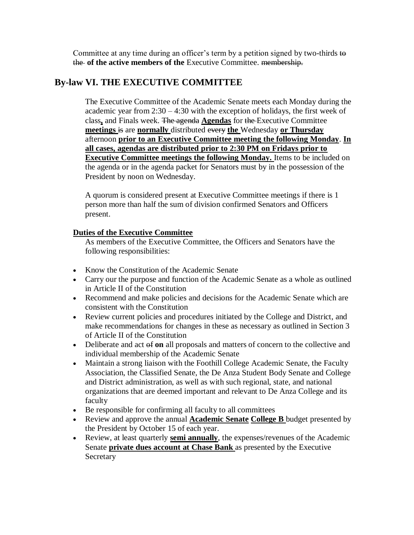Committee at any time during an officer's term by a petition signed by two-thirds  $\omega$ the **of the active members of the** Executive Committee. membership.

## **By-law VI. THE EXECUTIVE COMMITTEE**

The Executive Committee of the Academic Senate meets each Monday during the academic year from  $2:30 - 4:30$  with the exception of holidays, the first week of class**,** and Finals week. The agenda **Agendas** for the Executive Committee **meetings** is are **normally** distributed every **the** Wednesday **or Thursday**  afternoon **prior to an Executive Committee meeting the following Monday**. **In all cases, agendas are distributed prior to 2:30 PM on Fridays prior to Executive Committee meetings the following Monday.** Items to be included on the agenda or in the agenda packet for Senators must by in the possession of the President by noon on Wednesday.

A quorum is considered present at Executive Committee meetings if there is 1 person more than half the sum of division confirmed Senators and Officers present.

## **Duties of the Executive Committee**

As members of the Executive Committee, the Officers and Senators have the following responsibilities:

- Know the Constitution of the Academic Senate
- Carry our the purpose and function of the Academic Senate as a whole as outlined in Article II of the Constitution
- Recommend and make policies and decisions for the Academic Senate which are consistent with the Constitution
- Review current policies and procedures initiated by the College and District, and make recommendations for changes in these as necessary as outlined in Section 3 of Article II of the Constitution
- Deliberate and act  $\theta$ **f** on all proposals and matters of concern to the collective and individual membership of the Academic Senate
- Maintain a strong liaison with the Foothill College Academic Senate, the Faculty Association, the Classified Senate, the De Anza Student Body Senate and College and District administration, as well as with such regional, state, and national organizations that are deemed important and relevant to De Anza College and its faculty
- Be responsible for confirming all faculty to all committees
- Review and approve the annual **Academic Senate College B** budget presented by the President by October 15 of each year.
- Review, at least quarterly **semi annually**, the expenses/revenues of the Academic Senate **private dues account at Chase Bank** as presented by the Executive **Secretary**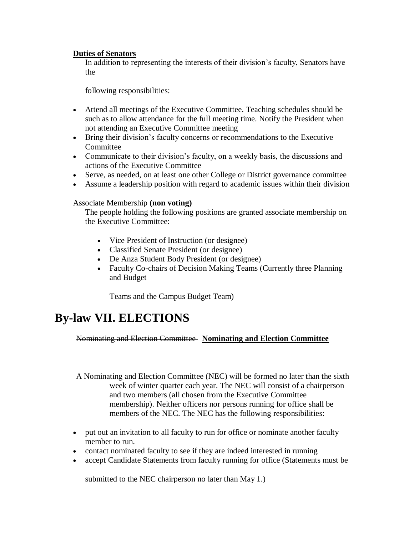## **Duties of Senators**

In addition to representing the interests of their division's faculty, Senators have the

following responsibilities:

- Attend all meetings of the Executive Committee. Teaching schedules should be such as to allow attendance for the full meeting time. Notify the President when not attending an Executive Committee meeting
- Bring their division's faculty concerns or recommendations to the Executive **Committee**
- Communicate to their division's faculty, on a weekly basis, the discussions and actions of the Executive Committee
- Serve, as needed, on at least one other College or District governance committee
- Assume a leadership position with regard to academic issues within their division

## Associate Membership **(non voting)**

The people holding the following positions are granted associate membership on the Executive Committee:

- Vice President of Instruction (or designee)
- Classified Senate President (or designee)
- De Anza Student Body President (or designee)
- Faculty Co-chairs of Decision Making Teams (Currently three Planning and Budget

Teams and the Campus Budget Team)

## **By-law VII. ELECTIONS**

Nominating and Election Committee **Nominating and Election Committee**

A Nominating and Election Committee (NEC) will be formed no later than the sixth week of winter quarter each year. The NEC will consist of a chairperson and two members (all chosen from the Executive Committee membership). Neither officers nor persons running for office shall be members of the NEC. The NEC has the following responsibilities:

- put out an invitation to all faculty to run for office or nominate another faculty member to run.
- contact nominated faculty to see if they are indeed interested in running
- accept Candidate Statements from faculty running for office (Statements must be

submitted to the NEC chairperson no later than May 1.)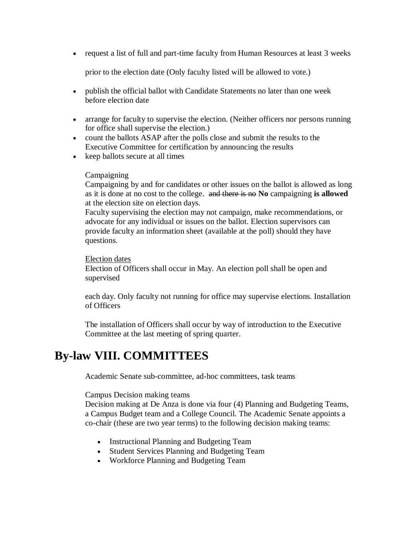request a list of full and part-time faculty from Human Resources at least 3 weeks

prior to the election date (Only faculty listed will be allowed to vote.)

- publish the official ballot with Candidate Statements no later than one week before election date
- arrange for faculty to supervise the election. (Neither officers nor persons running for office shall supervise the election.)
- count the ballots ASAP after the polls close and submit the results to the Executive Committee for certification by announcing the results
- keep ballots secure at all times

### **Campaigning**

Campaigning by and for candidates or other issues on the ballot is allowed as long as it is done at no cost to the college. and there is no **No** campaigning **is allowed**  at the election site on election days.

Faculty supervising the election may not campaign, make recommendations, or advocate for any individual or issues on the ballot. Election supervisors can provide faculty an information sheet (available at the poll) should they have questions.

### Election dates

Election of Officers shall occur in May. An election poll shall be open and supervised

each day. Only faculty not running for office may supervise elections. Installation of Officers

The installation of Officers shall occur by way of introduction to the Executive Committee at the last meeting of spring quarter.

## **By-law VIII. COMMITTEES**

Academic Senate sub-committee, ad-hoc committees, task teams

## Campus Decision making teams

Decision making at De Anza is done via four (4) Planning and Budgeting Teams, a Campus Budget team and a College Council. The Academic Senate appoints a co-chair (these are two year terms) to the following decision making teams:

- Instructional Planning and Budgeting Team
- Student Services Planning and Budgeting Team
- Workforce Planning and Budgeting Team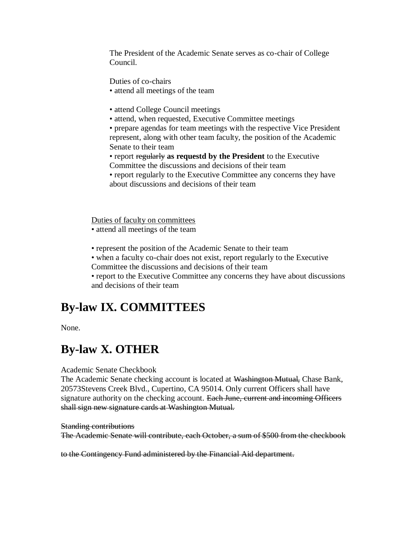The President of the Academic Senate serves as co-chair of College Council.

Duties of co-chairs

- attend all meetings of the team
- attend College Council meetings
- attend, when requested, Executive Committee meetings

• prepare agendas for team meetings with the respective Vice President represent, along with other team faculty, the position of the Academic Senate to their team

• report regularly **as requestd by the President** to the Executive

- Committee the discussions and decisions of their team
- report regularly to the Executive Committee any concerns they have about discussions and decisions of their team

Duties of faculty on committees • attend all meetings of the team

• represent the position of the Academic Senate to their team

- when a faculty co-chair does not exist, report regularly to the Executive
- Committee the discussions and decisions of their team

• report to the Executive Committee any concerns they have about discussions and decisions of their team

# **By-law IX. COMMITTEES**

None.

# **By-law X. OTHER**

Academic Senate Checkbook

The Academic Senate checking account is located at Washington Mutual, Chase Bank, 20573Stevens Creek Blvd., Cupertino, CA 95014. Only current Officers shall have signature authority on the checking account. Each June, current and incoming Officers shall sign new signature cards at Washington Mutual.

Standing contributions

The Academic Senate will contribute, each October, a sum of \$500 from the checkbook

to the Contingency Fund administered by the Financial Aid department.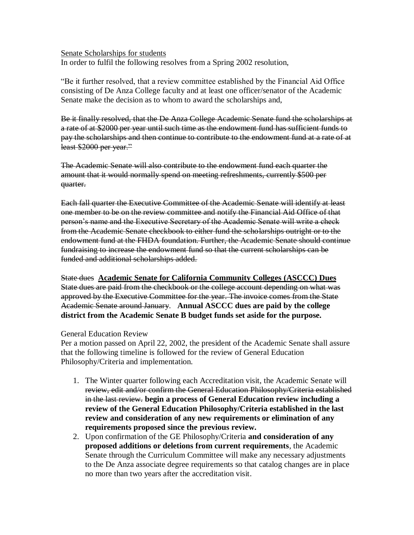#### Senate Scholarships for students

In order to fulfil the following resolves from a Spring 2002 resolution,

"Be it further resolved, that a review committee established by the Financial Aid Office consisting of De Anza College faculty and at least one officer/senator of the Academic Senate make the decision as to whom to award the scholarships and,

Be it finally resolved, that the De Anza College Academic Senate fund the scholarships at a rate of at \$2000 per year until such time as the endowment fund has sufficient funds to pay the scholarships and then continue to contribute to the endowment fund at a rate of at least \$2000 per year."

The Academic Senate will also contribute to the endowment fund each quarter the amount that it would normally spend on meeting refreshments, currently \$500 per quarter.

Each fall quarter the Executive Committee of the Academic Senate will identify at least one member to be on the review committee and notify the Financial Aid Office of that person's name and the Executive Secretary of the Academic Senate will write a check from the Academic Senate checkbook to either fund the scholarships outright or to the endowment fund at the FHDA foundation. Further, the Academic Senate should continue fundraising to increase the endowment fund so that the current scholarships can be funded and additional scholarships added.

State dues **Academic Senate for California Community Colleges (ASCCC) Dues** State dues are paid from the checkbook or the college account depending on what was approved by the Executive Committee for the year. The invoice comes from the State Academic Senate around January. **Annual ASCCC dues are paid by the college district from the Academic Senate B budget funds set aside for the purpose.**

#### General Education Review

Per a motion passed on April 22, 2002, the president of the Academic Senate shall assure that the following timeline is followed for the review of General Education Philosophy/Criteria and implementation.

- 1. The Winter quarter following each Accreditation visit, the Academic Senate will review, edit and/or confirm the General Education Philosophy/Criteria established in the last review. **begin a process of General Education review including a review of the General Education Philosophy/Criteria established in the last review and consideration of any new requirements or elimination of any requirements proposed since the previous review.**
- 2. Upon confirmation of the GE Philosophy/Criteria **and consideration of any proposed additions or deletions from current requirements**, the Academic Senate through the Curriculum Committee will make any necessary adjustments to the De Anza associate degree requirements so that catalog changes are in place no more than two years after the accreditation visit.